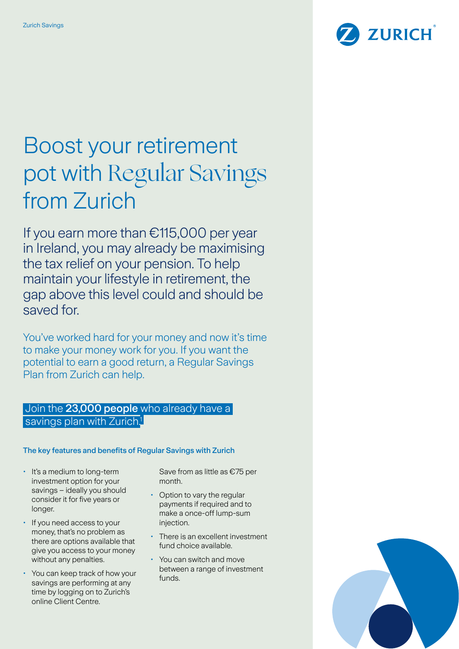

# Boost your retirement pot with Regular Savings from Zurich

If you earn more than €115,000 per year in Ireland, you may already be maximising the tax relief on your pension. To help maintain your lifestyle in retirement, the gap above this level could and should be saved for.

You've worked hard for your money and now it's time to make your money work for you. If you want the potential to earn a good return, a Regular Savings Plan from Zurich can help.

## Join the 23,000 people who already have a savings plan with Zurich.<sup>1</sup>

#### The key features and benefits of Regular Savings with Zurich

- It's a medium to long-term investment option for your savings – ideally you should consider it for five years or longer.
- If you need access to your money, that's no problem as there are options available that give you access to your money without any penalties.
- You can keep track of how your savings are performing at any time by logging on to Zurich's online Client Centre.

Save from as little as €75 per month.

- Option to vary the regular payments if required and to make a once-off lump-sum injection.
- There is an excellent investment fund choice available.
- You can switch and move between a range of investment funds.

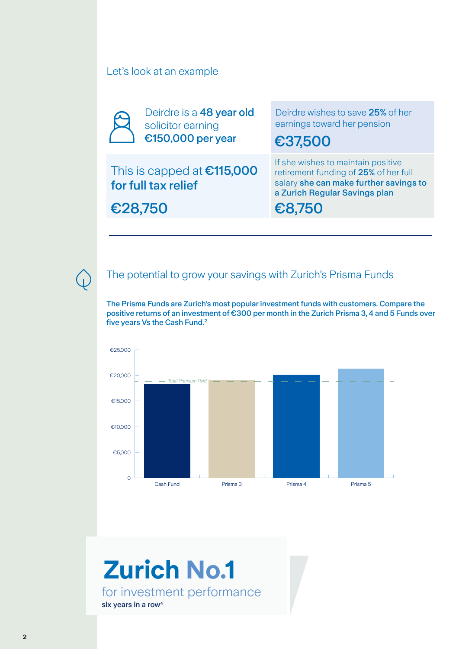#### Let's look at an example



Deirdre is a 48 year old solicitor earning €150,000 per year

This is capped at €115,000 for full tax relief

€28,750 €8,750

Deirdre wishes to save 25% of her earnings toward her pension

## €37,500

If she wishes to maintain positive retirement funding of 25% of her full salary she can make further savings to a Zurich Regular Savings plan

#### The potential to grow your savings with Zurich's Prisma Funds

The Prisma Funds are Zurich's most popular investment funds with customers. Compare the positive returns of an investment of €300 per month in the Zurich Prisma 3, 4 and 5 Funds over five years Vs the Cash Fund.2



# for investment performance six years in a row<sup>4</sup> **Zurich No.1**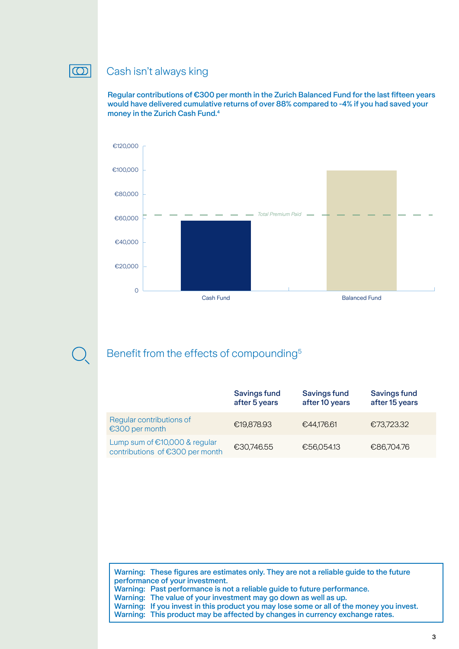#### $|\mathbb{O}|$

#### Cash isn't always king

Regular contributions of €300 per month in the Zurich Balanced Fund for the last fifteen years would have delivered cumulative returns of over 88% compared to -4% if you had saved your money in the Zurich Cash Fund.4



### Benefit from the effects of compounding5

|                                                                  | <b>Savings fund</b><br>after 5 years | Savings fund<br>after 10 years | <b>Savings fund</b><br>after 15 years |
|------------------------------------------------------------------|--------------------------------------|--------------------------------|---------------------------------------|
| Regular contributions of<br>$\epsilon$ 300 per month             | €19,878.93                           | €44,176,61                     | €73,723.32                            |
| Lump sum of €10,000 & regular<br>contributions of €300 per month | €30,746.55                           | €56,054.13                     | €86,704.76                            |

Warning: These figures are estimates only. They are not a reliable guide to the future performance of your investment. Warning: Past performance is not a reliable guide to future performance. Warning: The value of your investment may go down as well as up. Warning: If you invest in this product you may lose some or all of the money you invest. Warning: This product may be affected by changes in currency exchange rates.

3